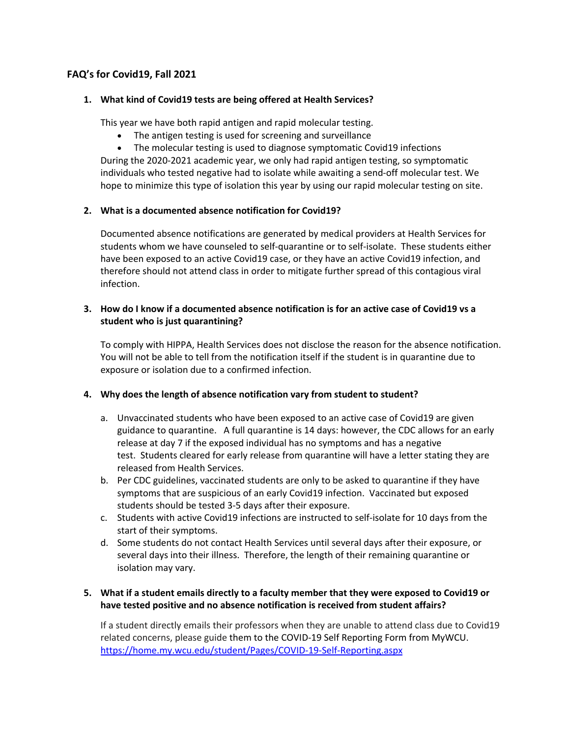# **FAQ's for Covid19, Fall 2021**

#### **1. What kind of Covid19 tests are being offered at Health Services?**

This year we have both rapid antigen and rapid molecular testing.

- The antigen testing is used for screening and surveillance
- The molecular testing is used to diagnose symptomatic Covid19 infections

During the 2020-2021 academic year, we only had rapid antigen testing, so symptomatic individuals who tested negative had to isolate while awaiting a send-off molecular test. We hope to minimize this type of isolation this year by using our rapid molecular testing on site.

## **2. What is a documented absence notification for Covid19?**

Documented absence notifications are generated by medical providers at Health Services for students whom we have counseled to self-quarantine or to self-isolate. These students either have been exposed to an active Covid19 case, or they have an active Covid19 infection, and therefore should not attend class in order to mitigate further spread of this contagious viral infection.

## **3. How do I know if a documented absence notification is for an active case of Covid19 vs a student who is just quarantining?**

To comply with HIPPA, Health Services does not disclose the reason for the absence notification. You will not be able to tell from the notification itself if the student is in quarantine due to exposure or isolation due to a confirmed infection.

#### **4. Why does the length of absence notification vary from student to student?**

- a. Unvaccinated students who have been exposed to an active case of Covid19 are given guidance to quarantine. A full quarantine is 14 days: however, the CDC allows for an early release at day 7 if the exposed individual has no symptoms and has a negative test. Students cleared for early release from quarantine will have a letter stating they are released from Health Services.
- b. Per CDC guidelines, vaccinated students are only to be asked to quarantine if they have symptoms that are suspicious of an early Covid19 infection. Vaccinated but exposed students should be tested 3-5 days after their exposure.
- c. Students with active Covid19 infections are instructed to self-isolate for 10 days from the start of their symptoms.
- d. Some students do not contact Health Services until several days after their exposure, or several days into their illness. Therefore, the length of their remaining quarantine or isolation may vary.

## **5. What if a student emails directly to a faculty member that they were exposed to Covid19 or have tested positive and no absence notification is received from student affairs?**

If a student directly emails their professors when they are unable to attend class due to Covid19 related concerns, please guide them to the COVID-19 Self Reporting Form from MyWCU. https://home.my.wcu.edu/student/Pages/COVID-19-Self-Reporting.aspx